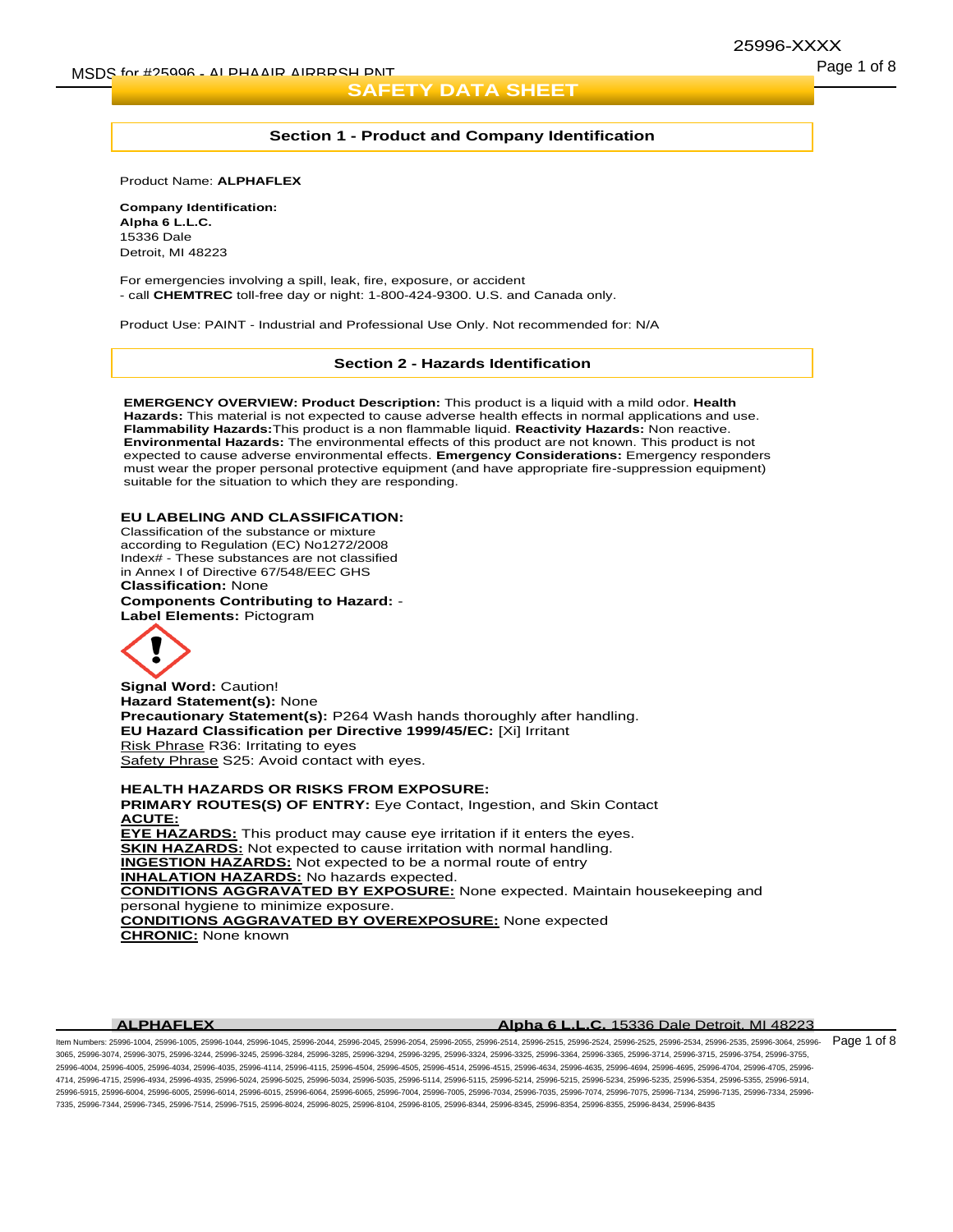# 25996-XXXX

## **Section 1 - Product and Company Identification**

Product Name: **ALPHAFLEX**

**Company Identification: Alpha 6 L.L.C.** 15336 Dale Detroit, MI 48223

For emergencies involving a spill, leak, fire, exposure, or accident - call **CHEMTREC** toll-free day or night: 1-800-424-9300. U.S. and Canada only.

Product Use: PAINT - Industrial and Professional Use Only. Not recommended for: N/A

## **Section 2 - Hazards Identification**

**EMERGENCY OVERVIEW: Product Description:** This product is a liquid with a mild odor. **Health Hazards:** This material is not expected to cause adverse health effects in normal applications and use. **Flammability Hazards:**This product is a non flammable liquid. **Reactivity Hazards:** Non reactive. **Environmental Hazards:** The environmental effects of this product are not known. This product is not expected to cause adverse environmental effects. **Emergency Considerations:** Emergency responders must wear the proper personal protective equipment (and have appropriate fire-suppression equipment) suitable for the situation to which they are responding.

## **EU LABELING AND CLASSIFICATION:**

Classification of the substance or mixture according to Regulation (EC) No1272/2008 Index# - These substances are not classified in Annex I of Directive 67/548/EEC GHS **Classification:** None

**Components Contributing to Hazard:** - **Label Elements:** Pictogram



**Signal Word:** Caution! **Hazard Statement(s):** None **Precautionary Statement(s):** P264 Wash hands thoroughly after handling. **EU Hazard Classification per Directive 1999/45/EC:** [Xi] Irritant Risk Phrase R36: Irritating to eyes Safety Phrase S25: Avoid contact with eyes.

**HEALTH HAZARDS OR RISKS FROM EXPOSURE: PRIMARY ROUTES(S) OF ENTRY:** Eye Contact, Ingestion, and Skin Contact **ACUTE: EYE HAZARDS:** This product may cause eye irritation if it enters the eyes. **SKIN HAZARDS:** Not expected to cause irritation with normal handling. **INGESTION HAZARDS:** Not expected to be a normal route of entry **INHALATION HAZARDS:** No hazards expected. **CONDITIONS AGGRAVATED BY EXPOSURE:** None expected. Maintain housekeeping and personal hygiene to minimize exposure. **CONDITIONS AGGRAVATED BY OVEREXPOSURE:** None expected **CHRONIC:** None known

#### **ALPHAFLEX Alpha 6 L.L.C.** 15336 Dale Detroit, MI 48223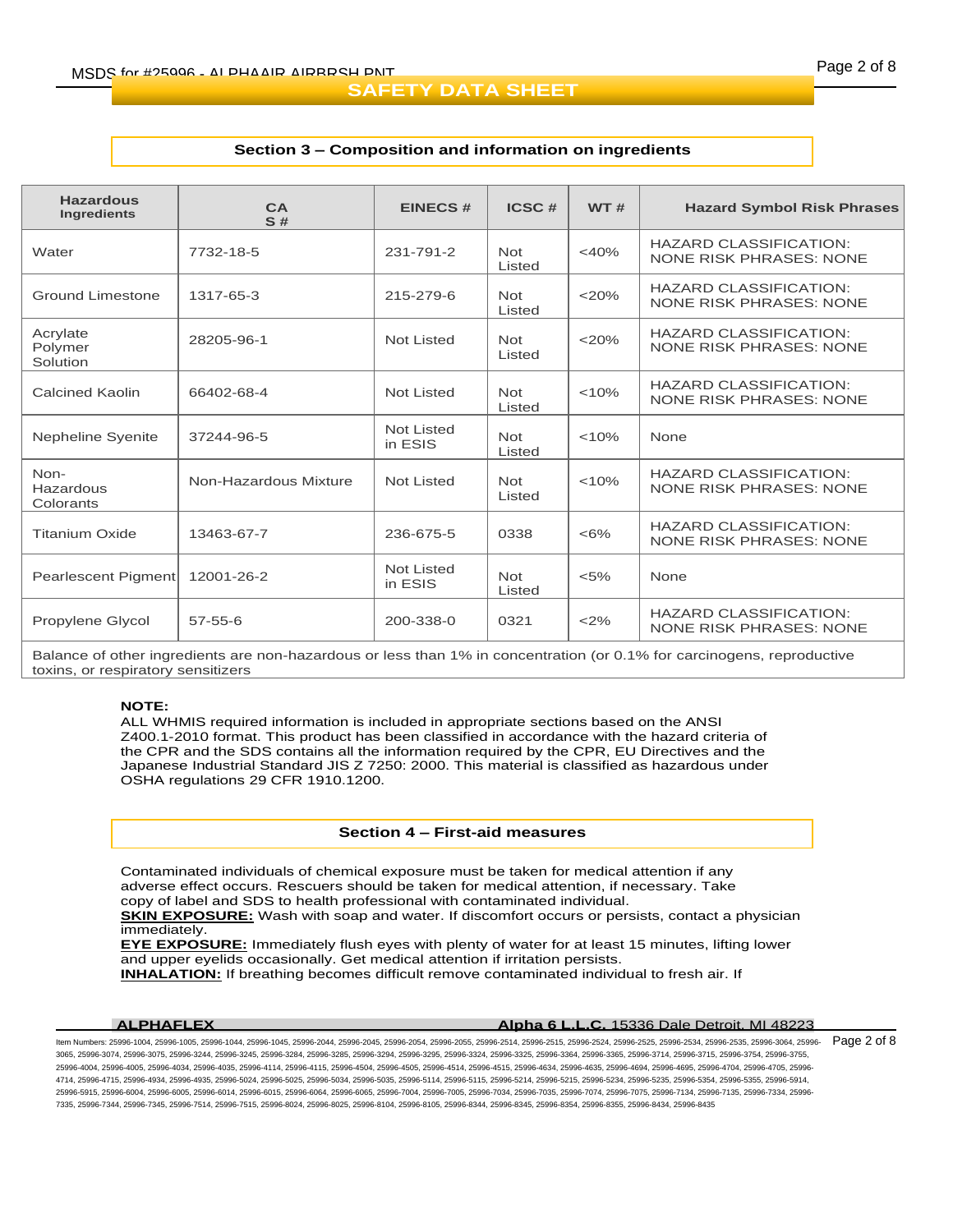## **Section 3 – Composition and information on ingredients**

| <b>Hazardous</b><br><b>Ingredients</b> | CA<br>S#              | <b>EINECS#</b>        | ICSC#                | <b>WT#</b> | <b>Hazard Symbol Risk Phrases</b>                               |  |
|----------------------------------------|-----------------------|-----------------------|----------------------|------------|-----------------------------------------------------------------|--|
| Water                                  | 7732-18-5             | 231-791-2             | Not<br>Listed        | $<$ 40%    | <b>HAZARD CLASSIFICATION:</b><br><b>NONE RISK PHRASES: NONE</b> |  |
| Ground Limestone                       | 1317-65-3             | 215-279-6             | <b>Not</b><br>Listed | $<$ 20%    | <b>HAZARD CLASSIFICATION:</b><br>NONE RISK PHRASES: NONE        |  |
| Acrylate<br>Polymer<br>Solution        | 28205-96-1            | Not Listed            | <b>Not</b><br>Listed | $<$ 20%    | <b>HAZARD CLASSIFICATION:</b><br>NONE RISK PHRASES: NONE        |  |
| <b>Calcined Kaolin</b>                 | 66402-68-4            | Not Listed            | <b>Not</b><br>Listed | < 10%      | <b>HAZARD CLASSIFICATION:</b><br><b>NONE RISK PHRASES: NONE</b> |  |
| <b>Nepheline Syenite</b>               | 37244-96-5            | Not Listed<br>in ESIS | <b>Not</b><br>Listed | < 10%      | None                                                            |  |
| Non-<br>Hazardous<br>Colorants         | Non-Hazardous Mixture | Not Listed            | <b>Not</b><br>Listed | < 10%      | <b>HAZARD CLASSIFICATION:</b><br><b>NONE RISK PHRASES: NONE</b> |  |
| <b>Titanium Oxide</b>                  | 13463-67-7            | 236-675-5             | 0338                 | $<6\%$     | <b>HAZARD CLASSIFICATION:</b><br><b>NONE RISK PHRASES: NONE</b> |  |
| Pearlescent Pigment                    | 12001-26-2            | Not Listed<br>in ESIS | <b>Not</b><br>Listed | $< 5\%$    | None                                                            |  |
| Propylene Glycol                       | $57 - 55 - 6$         | 200-338-0             | 0321                 | <2%        | <b>HAZARD CLASSIFICATION:</b><br>NONE RISK PHRASES: NONE        |  |

Balance of other ingredients are non-hazardous or less than 1% in concentration (or 0.1% for carcinogens, reproductive toxins, or respiratory sensitizers

## **NOTE:**

ALL WHMIS required information is included in appropriate sections based on the ANSI Z400.1-2010 format. This product has been classified in accordance with the hazard criteria of the CPR and the SDS contains all the information required by the CPR, EU Directives and the Japanese Industrial Standard JIS Z 7250: 2000. This material is classified as hazardous under OSHA regulations 29 CFR 1910.1200.

## **Section 4 – First-aid measures**

Contaminated individuals of chemical exposure must be taken for medical attention if any adverse effect occurs. Rescuers should be taken for medical attention, if necessary. Take copy of label and SDS to health professional with contaminated individual.

**SKIN EXPOSURE:** Wash with soap and water. If discomfort occurs or persists, contact a physician immediately.

**EYE EXPOSURE:** Immediately flush eyes with plenty of water for at least 15 minutes, lifting lower and upper eyelids occasionally. Get medical attention if irritation persists.

**INHALATION:** If breathing becomes difficult remove contaminated individual to fresh air. If

## **ALPHAFLEX Alpha 6 L.L.C.** 15336 Dale Detroit, MI 48223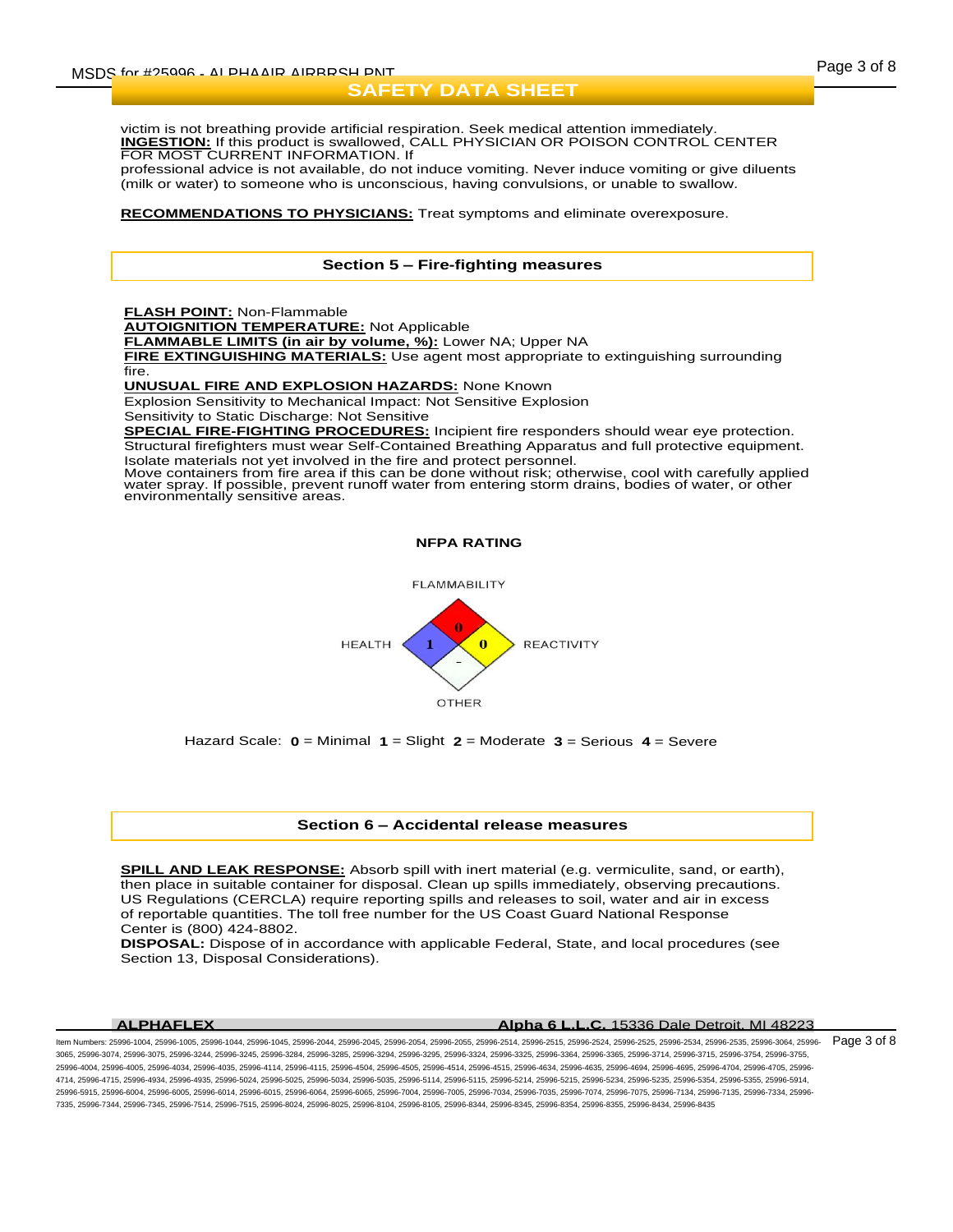victim is not breathing provide artificial respiration. Seek medical attention immediately. **INGESTION:** If this product is swallowed, CALL PHYSICIAN OR POISON CONTROL CENTER FOR MOST CURRENT INFORMATION. If

professional advice is not available, do not induce vomiting. Never induce vomiting or give diluents (milk or water) to someone who is unconscious, having convulsions, or unable to swallow.

## **RECOMMENDATIONS TO PHYSICIANS:** Treat symptoms and eliminate overexposure.

# **Section 5 – Fire-fighting measures**

**FLASH POINT:** Non-Flammable

**AUTOIGNITION TEMPERATURE:** Not Applicable

**FLAMMABLE LIMITS (in air by volume, %):** Lower NA; Upper NA

**FIRE EXTINGUISHING MATERIALS:** Use agent most appropriate to extinguishing surrounding fire.

**UNUSUAL FIRE AND EXPLOSION HAZARDS:** None Known

Explosion Sensitivity to Mechanical Impact: Not Sensitive Explosion

Sensitivity to Static Discharge: Not Sensitive

**SPECIAL FIRE-FIGHTING PROCEDURES:** Incipient fire responders should wear eye protection. Structural firefighters must wear Self-Contained Breathing Apparatus and full protective equipment. Isolate materials not yet involved in the fire and protect personnel.

Move containers from fire area if this can be done without risk; otherwise, cool with carefully applied water spray. If possible, prevent runoff water from entering storm drains, bodies of water, or other<br>environmentally sensitive areas.

**NFPA RATING**



Hazard Scale: **0** = Minimal **1** = Slight **2** = Moderate **3** = Serious **4** = Severe

#### **Section 6 – Accidental release measures**

**SPILL AND LEAK RESPONSE:** Absorb spill with inert material (e.g. vermiculite, sand, or earth), then place in suitable container for disposal. Clean up spills immediately, observing precautions. US Regulations (CERCLA) require reporting spills and releases to soil, water and air in excess of reportable quantities. The toll free number for the US Coast Guard National Response Center is (800) 424-8802.

**DISPOSAL:** Dispose of in accordance with applicable Federal, State, and local procedures (see Section 13, Disposal Considerations).

#### **ALPHAFLEX Alpha 6 L.L.C.** 15336 Dale Detroit, MI 48223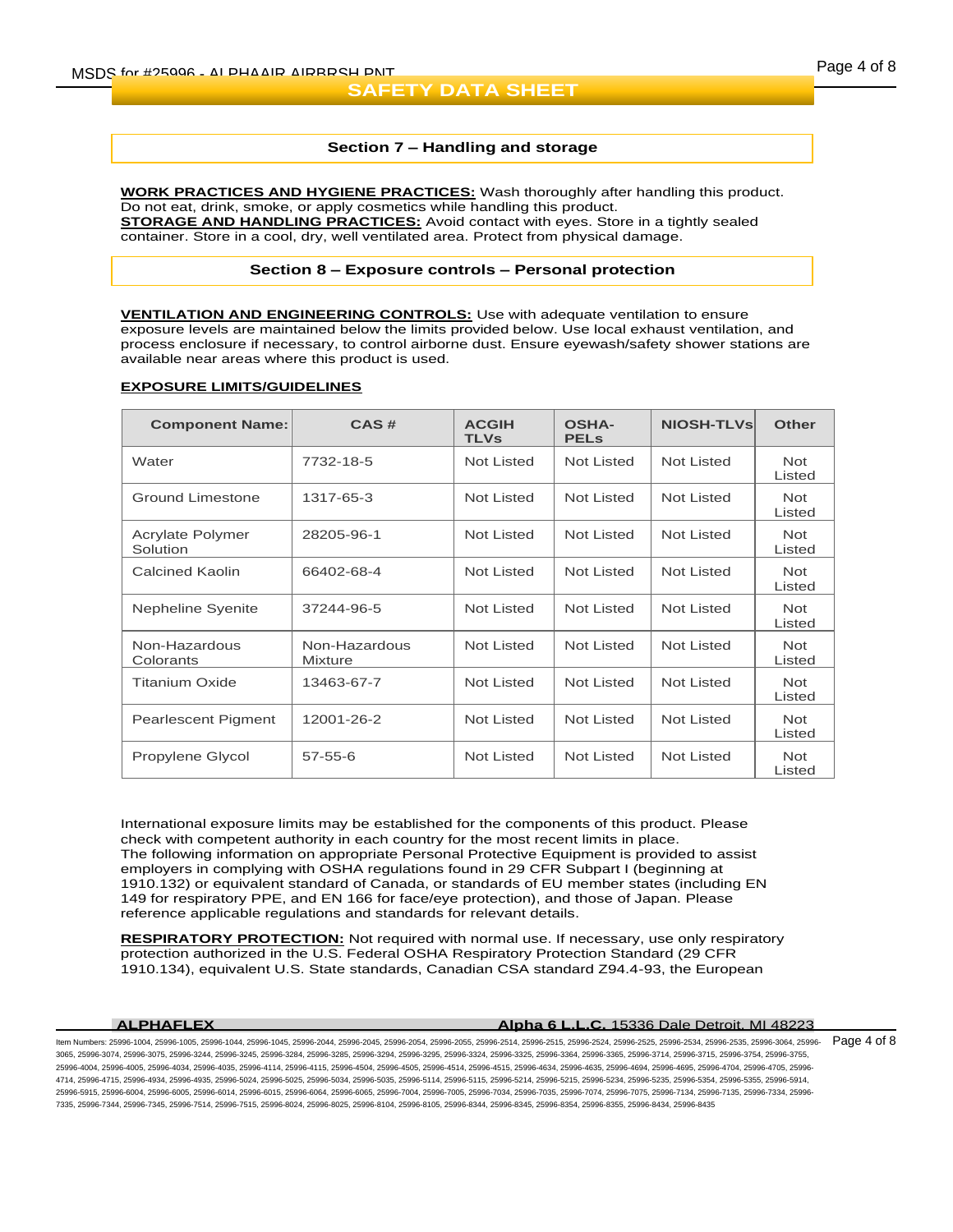## **Section 7 – Handling and storage**

**WORK PRACTICES AND HYGIENE PRACTICES:** Wash thoroughly after handling this product. Do not eat, drink, smoke, or apply cosmetics while handling this product. **STORAGE AND HANDLING PRACTICES:** Avoid contact with eyes. Store in a tightly sealed container. Store in a cool, dry, well ventilated area. Protect from physical damage.

## **Section 8 – Exposure controls – Personal protection**

**VENTILATION AND ENGINEERING CONTROLS:** Use with adequate ventilation to ensure exposure levels are maintained below the limits provided below. Use local exhaust ventilation, and process enclosure if necessary, to control airborne dust. Ensure eyewash/safety shower stations are available near areas where this product is used.

# **EXPOSURE LIMITS/GUIDELINES**

| <b>Component Name:</b>       | CAS#                            | <b>ACGIH</b><br><b>TLVs</b> | <b>OSHA-</b><br><b>PELS</b> | <b>NIOSH-TLVs</b> | <b>Other</b>         |
|------------------------------|---------------------------------|-----------------------------|-----------------------------|-------------------|----------------------|
| Water                        | 7732-18-5                       | Not Listed                  | <b>Not Listed</b>           | Not Listed        | <b>Not</b><br>Listed |
| <b>Ground Limestone</b>      | 1317-65-3                       | Not Listed                  | Not Listed                  | Not Listed        | <b>Not</b><br>Listed |
| Acrylate Polymer<br>Solution | 28205-96-1                      | <b>Not Listed</b>           | <b>Not Listed</b>           | Not Listed        | <b>Not</b><br>Listed |
| <b>Calcined Kaolin</b>       | 66402-68-4                      | Not Listed                  | <b>Not Listed</b>           | Not Listed        | <b>Not</b><br>Listed |
| Nepheline Syenite            | 37244-96-5                      | Not Listed                  | Not Listed                  | Not Listed        | <b>Not</b><br>Listed |
| Non-Hazardous<br>Colorants   | Non-Hazardous<br><b>Mixture</b> | Not Listed                  | Not Listed                  | Not Listed        | <b>Not</b><br>Listed |
| <b>Titanium Oxide</b>        | 13463-67-7                      | Not Listed                  | <b>Not Listed</b>           | Not Listed        | <b>Not</b><br>Listed |
| <b>Pearlescent Pigment</b>   | 12001-26-2                      | Not Listed                  | Not Listed                  | Not Listed        | <b>Not</b><br>Listed |
| Propylene Glycol             | $57 - 55 - 6$                   | Not Listed                  | Not Listed                  | <b>Not Listed</b> | <b>Not</b><br>Listed |

International exposure limits may be established for the components of this product. Please check with competent authority in each country for the most recent limits in place. The following information on appropriate Personal Protective Equipment is provided to assist employers in complying with OSHA regulations found in 29 CFR Subpart I (beginning at 1910.132) or equivalent standard of Canada, or standards of EU member states (including EN 149 for respiratory PPE, and EN 166 for face/eye protection), and those of Japan. Please reference applicable regulations and standards for relevant details.

**RESPIRATORY PROTECTION:** Not required with normal use. If necessary, use only respiratory protection authorized in the U.S. Federal OSHA Respiratory Protection Standard (29 CFR 1910.134), equivalent U.S. State standards, Canadian CSA standard Z94.4-93, the European

#### **ALPHAFLEX Alpha 6 L.L.C.** 15336 Dale Detroit, MI 48223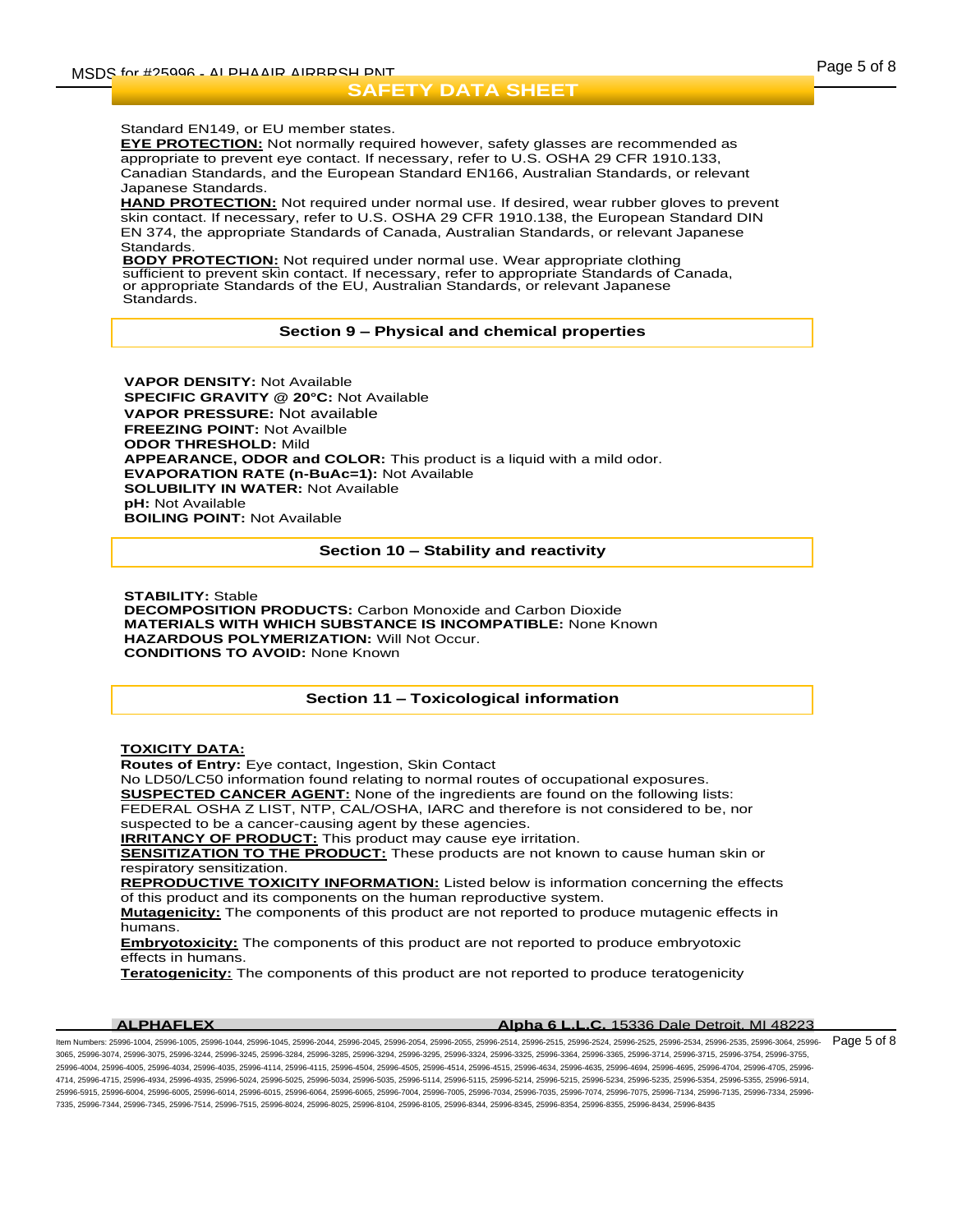## Standard EN149, or EU member states.

**EYE PROTECTION:** Not normally required however, safety glasses are recommended as appropriate to prevent eye contact. If necessary, refer to U.S. OSHA 29 CFR 1910.133, Canadian Standards, and the European Standard EN166, Australian Standards, or relevant Japanese Standards.

**HAND PROTECTION:** Not required under normal use. If desired, wear rubber gloves to prevent skin contact. If necessary, refer to U.S. OSHA 29 CFR 1910.138, the European Standard DIN EN 374, the appropriate Standards of Canada, Australian Standards, or relevant Japanese **Standards** 

**BODY PROTECTION:** Not required under normal use. Wear appropriate clothing sufficient to prevent skin contact. If necessary, refer to appropriate Standards of Canada, or appropriate Standards of the EU, Australian Standards, or relevant Japanese Standards.

## **Section 9 – Physical and chemical properties**

**VAPOR DENSITY:** Not Available **SPECIFIC GRAVITY @ 20°C:** Not Available **VAPOR PRESSURE:** Not available **FREEZING POINT:** Not Availble **ODOR THRESHOLD:** Mild **APPEARANCE, ODOR and COLOR:** This product is a liquid with a mild odor. **EVAPORATION RATE (n-BuAc=1):** Not Available **SOLUBILITY IN WATER:** Not Available **pH:** Not Available **BOILING POINT:** Not Available

## **Section 10 – Stability and reactivity**

**STABILITY:** Stable **DECOMPOSITION PRODUCTS:** Carbon Monoxide and Carbon Dioxide **MATERIALS WITH WHICH SUBSTANCE IS INCOMPATIBLE:** None Known **HAZARDOUS POLYMERIZATION:** Will Not Occur. **CONDITIONS TO AVOID:** None Known

# **Section 11 – Toxicological information**

### **TOXICITY DATA:**

**Routes of Entry:** Eye contact, Ingestion, Skin Contact

No LD50/LC50 information found relating to normal routes of occupational exposures.

**SUSPECTED CANCER AGENT:** None of the ingredients are found on the following lists:

FEDERAL OSHA Z LIST, NTP, CAL/OSHA, IARC and therefore is not considered to be, nor

suspected to be a cancer-causing agent by these agencies. **IRRITANCY OF PRODUCT:** This product may cause eye irritation.

**SENSITIZATION TO THE PRODUCT:** These products are not known to cause human skin or respiratory sensitization.

**REPRODUCTIVE TOXICITY INFORMATION:** Listed below is information concerning the effects of this product and its components on the human reproductive system.

**Mutagenicity:** The components of this product are not reported to produce mutagenic effects in humans.

**Embryotoxicity:** The components of this product are not reported to produce embryotoxic effects in humans.

**Teratogenicity:** The components of this product are not reported to produce teratogenicity

| <b>ALPHAFLEX</b> | <b>Alpha 6 L.L.C.</b> 15336 Dale Detroit, MI 48223 |
|------------------|----------------------------------------------------|
|                  |                                                    |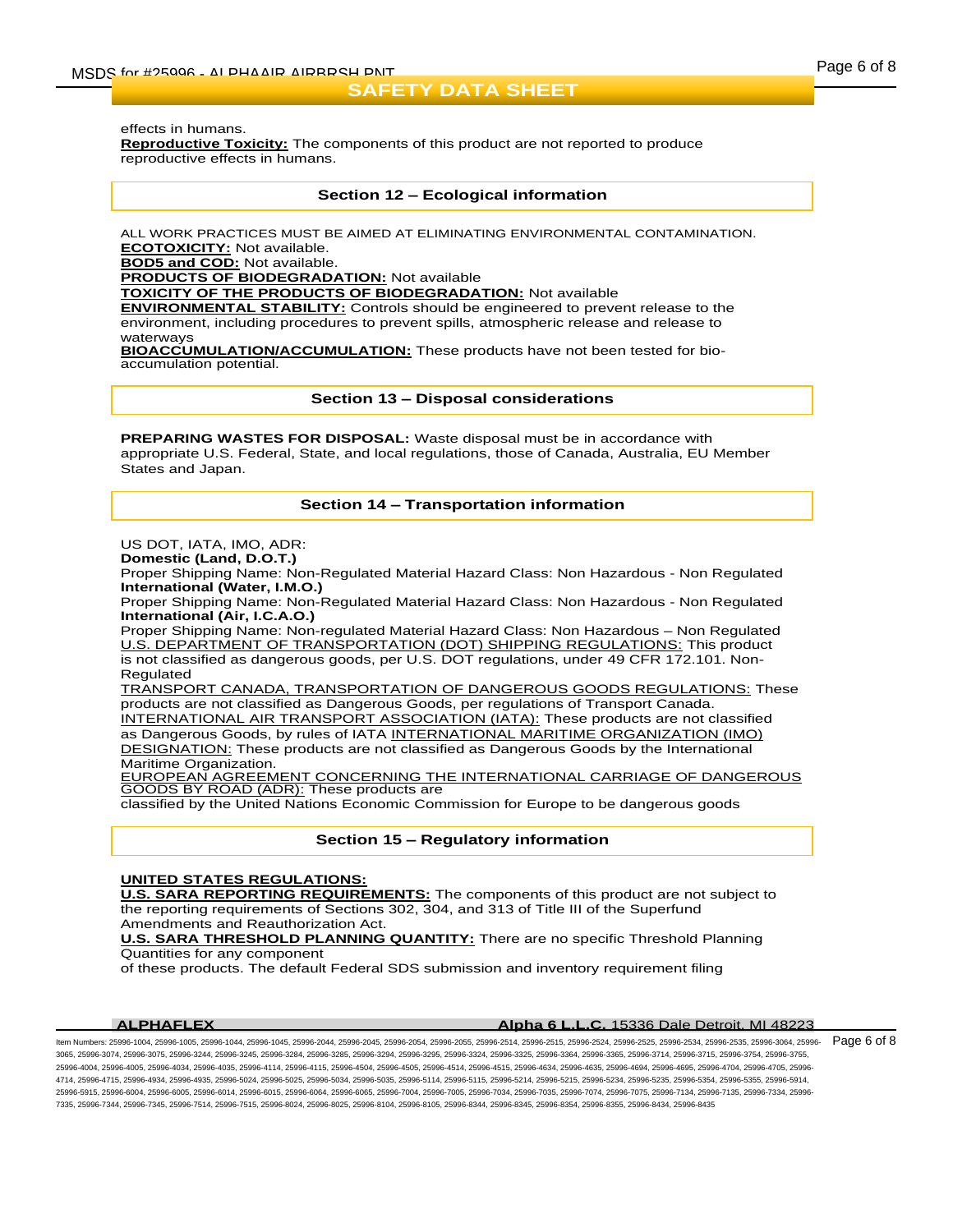effects in humans.

**Reproductive Toxicity:** The components of this product are not reported to produce reproductive effects in humans.

## **Section 12 – Ecological information**

ALL WORK PRACTICES MUST BE AIMED AT ELIMINATING ENVIRONMENTAL CONTAMINATION. **ECOTOXICITY:** Not available.

**BOD5 and COD:** Not available.

**PRODUCTS OF BIODEGRADATION:** Not available

**TOXICITY OF THE PRODUCTS OF BIODEGRADATION:** Not available

**ENVIRONMENTAL STABILITY:** Controls should be engineered to prevent release to the environment, including procedures to prevent spills, atmospheric release and release to waterways

**BIOACCUMULATION/ACCUMULATION:** These products have not been tested for bioaccumulation potential.

**Section 13 – Disposal considerations**

**PREPARING WASTES FOR DISPOSAL:** Waste disposal must be in accordance with appropriate U.S. Federal, State, and local regulations, those of Canada, Australia, EU Member States and Japan.

# **Section 14 – Transportation information**

US DOT, IATA, IMO, ADR:

**Domestic (Land, D.O.T.)**

Proper Shipping Name: Non-Regulated Material Hazard Class: Non Hazardous - Non Regulated **International (Water, I.M.O.)**

Proper Shipping Name: Non-Regulated Material Hazard Class: Non Hazardous - Non Regulated **International (Air, I.C.A.O.)**

Proper Shipping Name: Non-regulated Material Hazard Class: Non Hazardous – Non Regulated U.S. DEPARTMENT OF TRANSPORTATION (DOT) SHIPPING REGULATIONS: This product is not classified as dangerous goods, per U.S. DOT regulations, under 49 CFR 172.101. Non-Regulated

TRANSPORT CANADA, TRANSPORTATION OF DANGEROUS GOODS REGULATIONS: These products are not classified as Dangerous Goods, per regulations of Transport Canada. INTERNATIONAL AIR TRANSPORT ASSOCIATION (IATA): These products are not classified as Dangerous Goods, by rules of IATA INTERNATIONAL MARITIME ORGANIZATION (IMO) DESIGNATION: These products are not classified as Dangerous Goods by the International Maritime Organization.

EUROPEAN AGREEMENT CONCERNING THE INTERNATIONAL CARRIAGE OF DANGEROUS GOODS BY ROAD (ADR): These products are

classified by the United Nations Economic Commission for Europe to be dangerous goods

# **Section 15 – Regulatory information**

## **UNITED STATES REGULATIONS:**

**U.S. SARA REPORTING REQUIREMENTS:** The components of this product are not subject to the reporting requirements of Sections 302, 304, and 313 of Title III of the Superfund Amendments and Reauthorization Act.

**U.S. SARA THRESHOLD PLANNING QUANTITY:** There are no specific Threshold Planning Quantities for any component

of these products. The default Federal SDS submission and inventory requirement filing

## **ALPHAFLEX Alpha 6 L.L.C.** 15336 Dale Detroit, MI 48223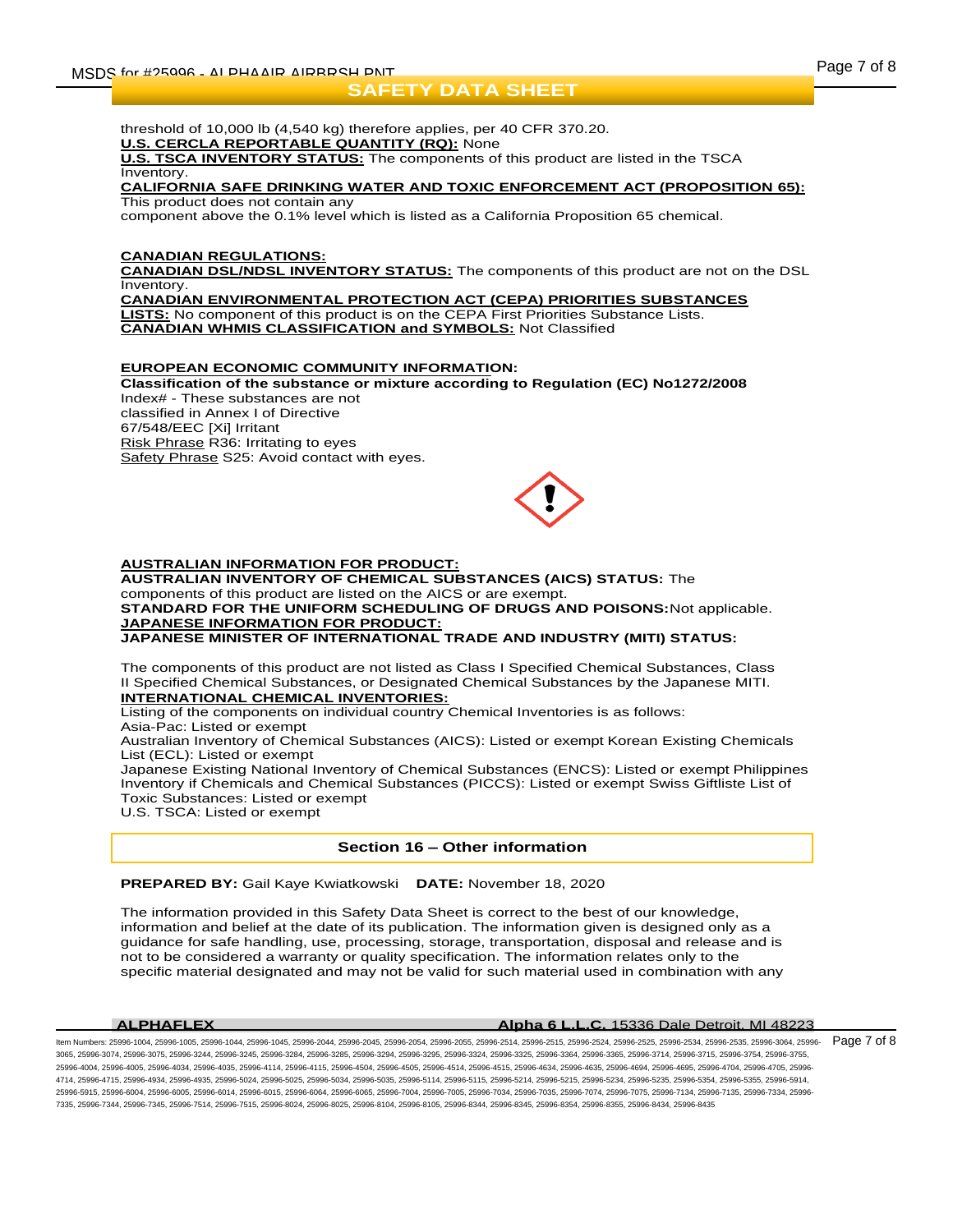threshold of 10,000 lb (4,540 kg) therefore applies, per 40 CFR 370.20. **U.S. CERCLA REPORTABLE QUANTITY (RQ):** None

**U.S. TSCA INVENTORY STATUS:** The components of this product are listed in the TSCA **Inventory** 

#### **CALIFORNIA SAFE DRINKING WATER AND TOXIC ENFORCEMENT ACT (PROPOSITION 65):** This product does not contain any

component above the 0.1% level which is listed as a California Proposition 65 chemical.

# **CANADIAN REGULATIONS:**

**CANADIAN DSL/NDSL INVENTORY STATUS:** The components of this product are not on the DSL Inventory.

**CANADIAN ENVIRONMENTAL PROTECTION ACT (CEPA) PRIORITIES SUBSTANCES LISTS:** No component of this product is on the CEPA First Priorities Substance Lists. **CANADIAN WHMIS CLASSIFICATION and SYMBOLS:** Not Classified

# **EUROPEAN ECONOMIC COMMUNITY INFORMATION:**

**Classification of the substance or mixture according to Regulation (EC) No1272/2008** Index# - These substances are not classified in Annex I of Directive 67/548/EEC [Xi] Irritant Risk Phrase R36: Irritating to eyes Safety Phrase S25: Avoid contact with eyes.



# **AUSTRALIAN INFORMATION FOR PRODUCT:**

**AUSTRALIAN INVENTORY OF CHEMICAL SUBSTANCES (AICS) STATUS:** The components of this product are listed on the AICS or are exempt. **STANDARD FOR THE UNIFORM SCHEDULING OF DRUGS AND POISONS:**Not applicable. **JAPANESE INFORMATION FOR PRODUCT: JAPANESE MINISTER OF INTERNATIONAL TRADE AND INDUSTRY (MITI) STATUS:**

The components of this product are not listed as Class I Specified Chemical Substances, Class II Specified Chemical Substances, or Designated Chemical Substances by the Japanese MITI. **INTERNATIONAL CHEMICAL INVENTORIES:**

Listing of the components on individual country Chemical Inventories is as follows:

Asia-Pac: Listed or exempt

Australian Inventory of Chemical Substances (AICS): Listed or exempt Korean Existing Chemicals List (ECL): Listed or exempt

Japanese Existing National Inventory of Chemical Substances (ENCS): Listed or exempt Philippines Inventory if Chemicals and Chemical Substances (PICCS): Listed or exempt Swiss Giftliste List of Toxic Substances: Listed or exempt

U.S. TSCA: Listed or exempt

# **Section 16 – Other information**

**PREPARED BY:** Gail Kaye Kwiatkowski **DATE:** November 18, 2020

The information provided in this Safety Data Sheet is correct to the best of our knowledge, information and belief at the date of its publication. The information given is designed only as a guidance for safe handling, use, processing, storage, transportation, disposal and release and is not to be considered a warranty or quality specification. The information relates only to the specific material designated and may not be valid for such material used in combination with any

## **ALPHAFLEX Alpha 6 L.L.C.** 15336 Dale Detroit, MI 48223